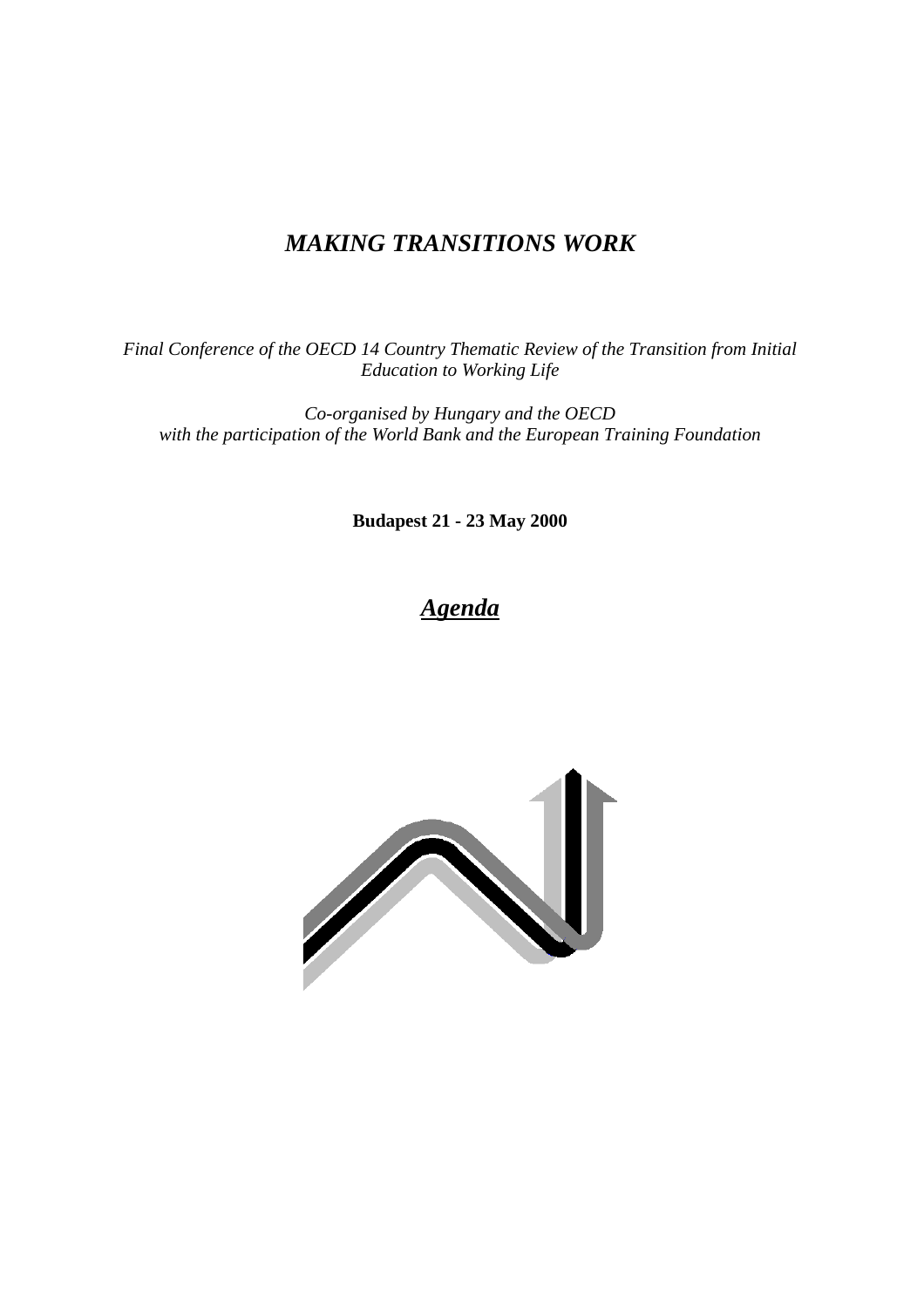## *MAKING TRANSITIONS WORK*

*Final Conference of the OECD 14 Country Thematic Review of the Transition from Initial Education to Working Life*

*Co-organised by Hungary and the OECD with the participation of the World Bank and the European Training Foundation*

**Budapest 21 - 23 May 2000**

# *Agenda*

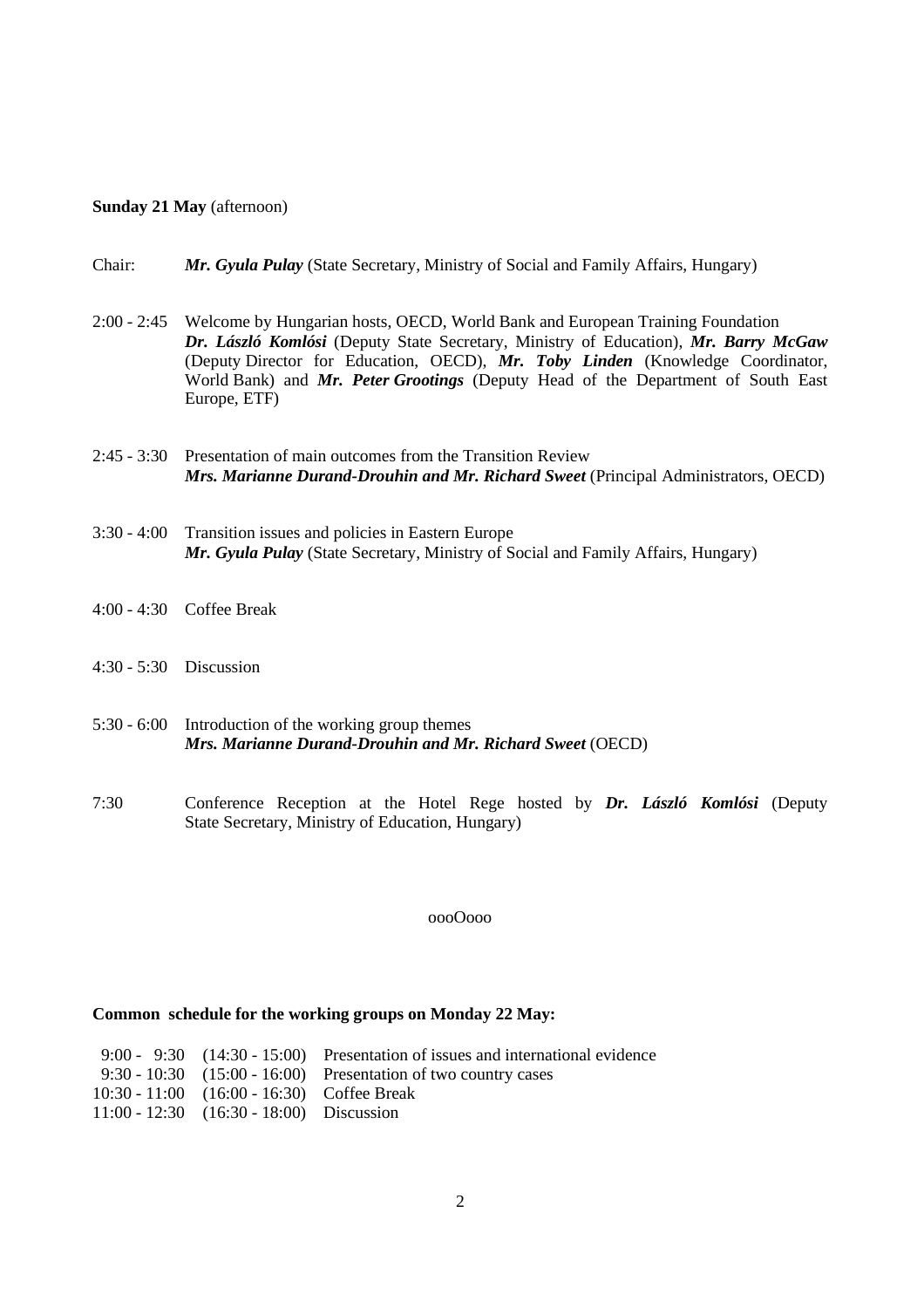#### **Sunday 21 May** (afternoon)

#### Chair: *Mr. Gyula Pulay* (State Secretary, Ministry of Social and Family Affairs, Hungary)

- 2:00 2:45 Welcome by Hungarian hosts, OECD, World Bank and European Training Foundation *Dr. László Komlósi* (Deputy State Secretary, Ministry of Education), *Mr. Barry McGaw* (Deputy Director for Education, OECD), *Mr. Toby Linden* (Knowledge Coordinator, World Bank) and *Mr. Peter Grootings* (Deputy Head of the Department of South East Europe, ETF)
- 2:45 3:30 Presentation of main outcomes from the Transition Review *Mrs. Marianne Durand-Drouhin and Mr. Richard Sweet* (Principal Administrators, OECD)
- 3:30 4:00 Transition issues and policies in Eastern Europe *Mr. Gyula Pulay* (State Secretary, Ministry of Social and Family Affairs, Hungary)
- 4:00 4:30 Coffee Break
- 4:30 5:30 Discussion
- 5:30 6:00 Introduction of the working group themes *Mrs. Marianne Durand-Drouhin and Mr. Richard Sweet* (OECD)
- 7:30 Conference Reception at the Hotel Rege hosted by *Dr. László Komlósi* (Deputy State Secretary, Ministry of Education, Hungary)

oooOooo

#### **Common schedule for the working groups on Monday 22 May:**

|                                              | 9:00 - 9:30 $(14:30 - 15:00)$ Presentation of issues and international evidence |
|----------------------------------------------|---------------------------------------------------------------------------------|
|                                              | $9:30 - 10:30$ $(15:00 - 16:00)$ Presentation of two country cases              |
| 10:30 - 11:00 (16:00 - 16:30) Coffee Break   |                                                                                 |
| $11:00 - 12:30$ $(16:30 - 18:00)$ Discussion |                                                                                 |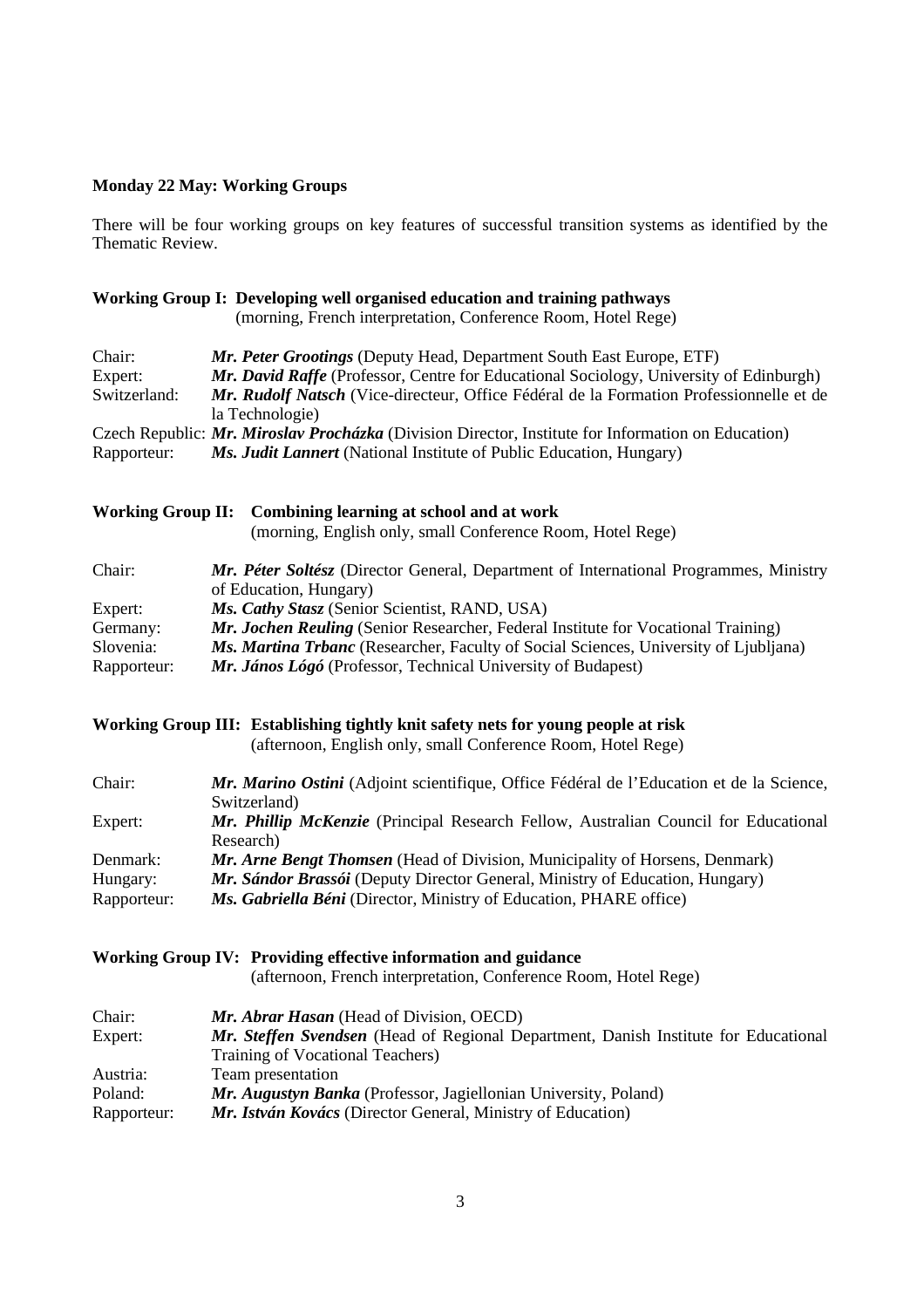### **Monday 22 May: Working Groups**

There will be four working groups on key features of successful transition systems as identified by the Thematic Review.

|              | Working Group I: Developing well organised education and training pathways<br>(morning, French interpretation, Conference Room, Hotel Rege) |
|--------------|---------------------------------------------------------------------------------------------------------------------------------------------|
| Chair:       | Mr. Peter Grootings (Deputy Head, Department South East Europe, ETF)                                                                        |
| Expert:      | <b>Mr. David Raffe</b> (Professor, Centre for Educational Sociology, University of Edinburgh)                                               |
| Switzerland: | Mr. Rudolf Natsch (Vice-directeur, Office Fédéral de la Formation Professionnelle et de<br>la Technologie)                                  |
|              | Czech Republic: Mr. Miroslav Procházka (Division Director, Institute for Information on Education)                                          |
| Rapporteur:  | <i>Ms. Judit Lannert</i> (National Institute of Public Education, Hungary)                                                                  |
|              | Working Group II: Combining learning at school and at work                                                                                  |

| Chair:      | Mr. Péter Soltész (Director General, Department of International Programmes, Ministry       |
|-------------|---------------------------------------------------------------------------------------------|
|             | of Education, Hungary)                                                                      |
| Expert:     | Ms. Cathy Stasz (Senior Scientist, RAND, USA)                                               |
| Germany:    | <b>Mr. Jochen Reuling</b> (Senior Researcher, Federal Institute for Vocational Training)    |
| Slovenia:   | <i>Ms. Martina Trbanc</i> (Researcher, Faculty of Social Sciences, University of Ljubljana) |
| Rapporteur: | Mr. János Lógó (Professor, Technical University of Budapest)                                |

(morning, English only, small Conference Room, Hotel Rege)

## **Working Group III: Establishing tightly knit safety nets for young people at risk**

(afternoon, English only, small Conference Room, Hotel Rege)

| Chair:      | Mr. Marino Ostini (Adjoint scientifique, Office Fédéral de l'Education et de la Science, |
|-------------|------------------------------------------------------------------------------------------|
|             | Switzerland)                                                                             |
| Expert:     | Mr. Phillip McKenzie (Principal Research Fellow, Australian Council for Educational      |
|             | Research)                                                                                |
| Denmark:    | Mr. Arne Bengt Thomsen (Head of Division, Municipality of Horsens, Denmark)              |
| Hungary:    | Mr. Sándor Brassói (Deputy Director General, Ministry of Education, Hungary)             |
| Rapporteur: | Ms. Gabriella Béni (Director, Ministry of Education, PHARE office)                       |

**Working Group IV: Providing effective information and guidance**

|  |  | (afternoon, French interpretation, Conference Room, Hotel Rege) |  |  |  |  |
|--|--|-----------------------------------------------------------------|--|--|--|--|
|--|--|-----------------------------------------------------------------|--|--|--|--|

| Chair:      | Mr. Abrar Hasan (Head of Division, OECD)                                            |
|-------------|-------------------------------------------------------------------------------------|
| Expert:     | Mr. Steffen Svendsen (Head of Regional Department, Danish Institute for Educational |
|             | Training of Vocational Teachers)                                                    |
| Austria:    | Team presentation                                                                   |
| Poland:     | Mr. Augustyn Banka (Professor, Jagiellonian University, Poland)                     |
| Rapporteur: | Mr. István Kovács (Director General, Ministry of Education)                         |